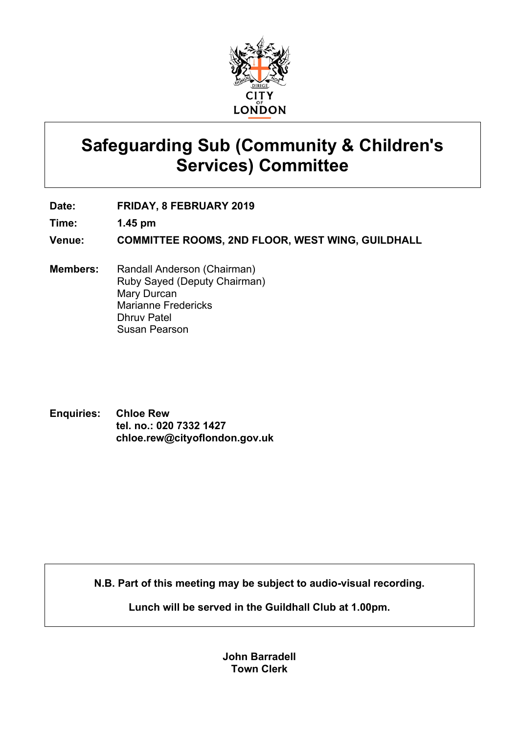

# **Safeguarding Sub (Community & Children's Services) Committee**

**Date: FRIDAY, 8 FEBRUARY 2019**

**Time: 1.45 pm**

**Venue: COMMITTEE ROOMS, 2ND FLOOR, WEST WING, GUILDHALL**

- **Members:** Randall Anderson (Chairman) Ruby Sayed (Deputy Chairman) Mary Durcan Marianne Fredericks Dhruv Patel Susan Pearson
- **Enquiries: Chloe Rew tel. no.: 020 7332 1427 chloe.rew@cityoflondon.gov.uk**

**N.B. Part of this meeting may be subject to audio-visual recording.**

**Lunch will be served in the Guildhall Club at 1.00pm.**

**John Barradell Town Clerk**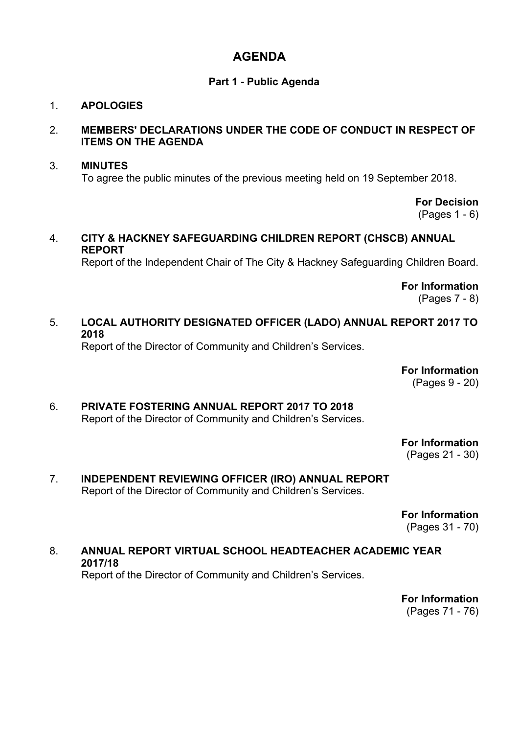# **AGENDA**

# **Part 1 - Public Agenda**

# 1. **APOLOGIES**

### 2. **MEMBERS' DECLARATIONS UNDER THE CODE OF CONDUCT IN RESPECT OF ITEMS ON THE AGENDA**

### 3. **MINUTES** To agree the public minutes of the previous meeting held on 19 September 2018.

**For Decision** (Pages 1 - 6)

### 4. **CITY & HACKNEY SAFEGUARDING CHILDREN REPORT (CHSCB) ANNUAL REPORT**

Report of the Independent Chair of The City & Hackney Safeguarding Children Board.

**For Information** (Pages 7 - 8)

# 5. **LOCAL AUTHORITY DESIGNATED OFFICER (LADO) ANNUAL REPORT 2017 TO 2018**

Report of the Director of Community and Children's Services.

**For Information**

(Pages 9 - 20)

6. **PRIVATE FOSTERING ANNUAL REPORT 2017 TO 2018** Report of the Director of Community and Children's Services.

> **For Information** (Pages 21 - 30)

7. **INDEPENDENT REVIEWING OFFICER (IRO) ANNUAL REPORT** Report of the Director of Community and Children's Services.

> **For Information** (Pages 31 - 70)

#### 8. **ANNUAL REPORT VIRTUAL SCHOOL HEADTEACHER ACADEMIC YEAR 2017/18** Report of the Director of Community and Children's Services.

**For Information** (Pages 71 - 76)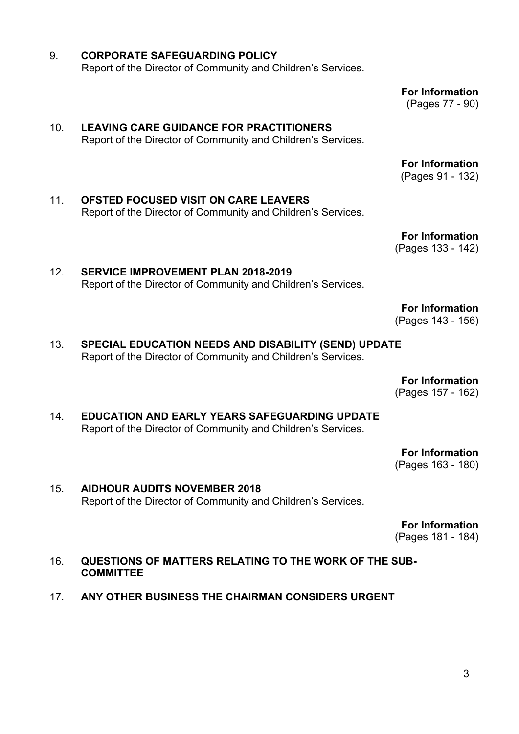3

- 9. **CORPORATE SAFEGUARDING POLICY** Report of the Director of Community and Children's Services.
- 10. **LEAVING CARE GUIDANCE FOR PRACTITIONERS** Report of the Director of Community and Children's Services.
- 11. **OFSTED FOCUSED VISIT ON CARE LEAVERS** Report of the Director of Community and Children's Services.

12. **SERVICE IMPROVEMENT PLAN 2018-2019**

**For Information** (Pages 133 - 142)

**For Information**

(Pages 143 - 156)

**For Information**

13. **SPECIAL EDUCATION NEEDS AND DISABILITY (SEND) UPDATE** Report of the Director of Community and Children's Services.

Report of the Director of Community and Children's Services.

(Pages 157 - 162) 14. **EDUCATION AND EARLY YEARS SAFEGUARDING UPDATE**

Report of the Director of Community and Children's Services.

**For Information** (Pages 163 - 180)

15. **AIDHOUR AUDITS NOVEMBER 2018** Report of the Director of Community and Children's Services.

**For Information**

(Pages 181 - 184)

- 16. **QUESTIONS OF MATTERS RELATING TO THE WORK OF THE SUB-COMMITTEE**
- 17. **ANY OTHER BUSINESS THE CHAIRMAN CONSIDERS URGENT**

**For Information** (Pages 77 - 90)

**For Information** (Pages 91 - 132)